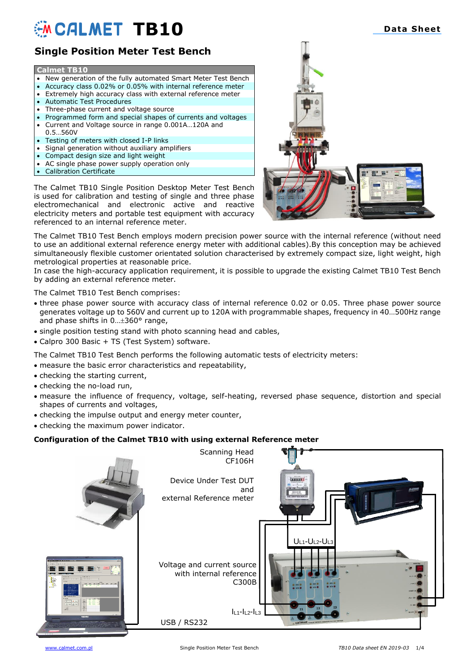# **EXAMPLE TB10 Data Sheet**

# **Single Position Meter Test Bench**

### **Calmet TB10**

- New generation of the fully automated Smart Meter Test Bench
- Accuracy class 0.02% or 0.05% with internal reference meter
- Extremely high accuracy class with external reference meter
- Automatic Test Procedures
- Three-phase current and voltage source
- Programmed form and special shapes of currents and voltages • Current and Voltage source in range 0.001A…120A and
- 0.5…560V • Testing of meters with closed I-P links
- Signal generation without auxiliary amplifiers
- Compact design size and light weight
- AC single phase power supply operation only
- Calibration Certificate

The Calmet TB10 Single Position Desktop Meter Test Bench is used for calibration and testing of single and three phase electromechanical and electronic active and reactive electricity meters and portable test equipment with accuracy referenced to an internal reference meter.



The Calmet TB10 Test Bench employs modern precision power source with the internal reference (without need to use an additional external reference energy meter with additional cables).By this conception may be achieved simultaneously flexible customer orientated solution characterised by extremely compact size, light weight, high metrological properties at reasonable price.

In case the high-accuracy application requirement, it is possible to upgrade the existing Calmet TB10 Test Bench by adding an external reference meter.

The Calmet TB10 Test Bench comprises:

- three phase power source with accuracy class of internal reference 0.02 or 0.05. Three phase power source generates voltage up to 560V and current up to 120A with programmable shapes, frequency in 40…500Hz range and phase shifts in 0...±360° range,
- single position testing stand with photo scanning head and cables,
- Calpro 300 Basic + TS (Test System) software.

The Calmet TB10 Test Bench performs the following automatic tests of electricity meters:

- measure the basic error characteristics and repeatability,
- checking the starting current,
- checking the no-load run,
- measure the influence of frequency, voltage, self-heating, reversed phase sequence, distortion and special shapes of currents and voltages,
- checking the impulse output and energy meter counter,
- checking the maximum power indicator.

### **Configuration of the Calmet TB10 with using external Reference meter**



## **Smart Calibration Devices**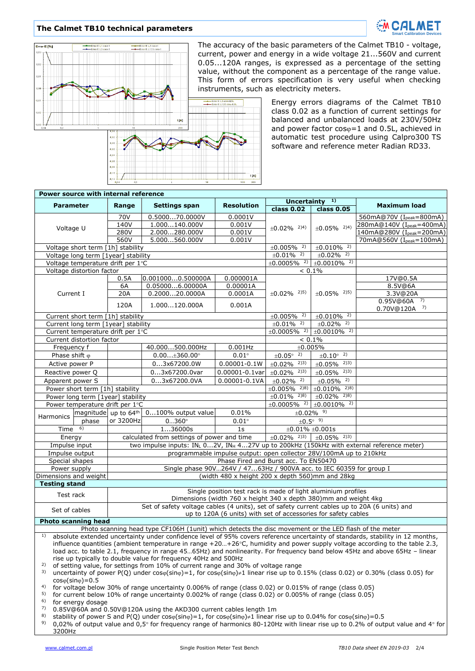#### **The Calmet TB10 technical parameters**





The accuracy of the basic parameters of the Calmet TB10 - voltage, current, power and energy in a wide voltage 21...560V and current 0.05...120A ranges, is expressed as a percentage of the setting value, without the component as a percentage of the range value. This form of errors specification is very useful when checking instruments, such as electricity meters.

> Energy errors diagrams of the Calmet TB10 class 0.02 as a function of current settings for balanced and unbalanced loads at 230V/50Hz and power factor  $cos\varphi=1$  and 0.5L, achieved in automatic test procedure using Calpro300 TS software and reference meter Radian RD33.

| Power source with internal reference                                                                                                                                    |                           |                                                                                                                                                                |                                                     |                       |                                  |                                                           |                            |
|-------------------------------------------------------------------------------------------------------------------------------------------------------------------------|---------------------------|----------------------------------------------------------------------------------------------------------------------------------------------------------------|-----------------------------------------------------|-----------------------|----------------------------------|-----------------------------------------------------------|----------------------------|
| <b>Parameter</b>                                                                                                                                                        |                           | Range                                                                                                                                                          | <b>Settings span</b>                                | <b>Resolution</b>     | 1)<br><b>Uncertainty</b>         |                                                           | <b>Maximum load</b>        |
|                                                                                                                                                                         |                           |                                                                                                                                                                |                                                     |                       | class 0.02                       | class 0.05                                                |                            |
|                                                                                                                                                                         |                           | 70V                                                                                                                                                            | 0.500070.0000V                                      | 0.0001V               |                                  |                                                           | 560mA@70V (Ipeak=800mA)    |
| Voltage U                                                                                                                                                               |                           | 140V                                                                                                                                                           | 1.000140.000V                                       | 0.001V                | $±0.02\%$ <sup>2)4)</sup>        | $±0.05\%$ <sup>2)4)</sup>                                 | 280mA@140V (Ipeak=400mA)   |
|                                                                                                                                                                         |                           | 280V                                                                                                                                                           | 2.000280.000V                                       | 0.001V                |                                  |                                                           | 140mA@280V (Ipeak=200mA)   |
|                                                                                                                                                                         |                           | 560V                                                                                                                                                           | 5.000560.000V                                       | 0.001V                |                                  |                                                           | 70mA@560V (Ipeak=100mA)    |
|                                                                                                                                                                         |                           | Voltage short term [1h] stability                                                                                                                              |                                                     |                       | $±0.005\%$ <sup>2)</sup>         | $±0.010\%$ <sup>2)</sup>                                  |                            |
|                                                                                                                                                                         |                           | Voltage long term [1year] stability                                                                                                                            |                                                     |                       | $±0.01\%$ <sup>2)</sup>          | $±0.02\%$ <sup>2)</sup>                                   |                            |
|                                                                                                                                                                         |                           | Voltage temperature drift per 1°C                                                                                                                              |                                                     |                       | $±0.0005\%$ <sup>2)</sup>        | $±0.0010\%$ <sup>2)</sup>                                 |                            |
|                                                                                                                                                                         | Voltage distortion factor | 0.5A                                                                                                                                                           |                                                     |                       | $< 0.1\%$                        |                                                           |                            |
|                                                                                                                                                                         |                           | 6A                                                                                                                                                             | 0.0010000.500000A<br>0.050006.00000A                | 0.000001A<br>0.00001A |                                  |                                                           | 17V@0.5A                   |
| Current I                                                                                                                                                               |                           | 20A                                                                                                                                                            | 0.200020.0000A                                      | 0.0001A               | $\pm 0.02\%$ <sup>2)5)</sup>     | $\pm 0.05\%$ <sup>2)5)</sup>                              | 8.5V@6A<br>3.3V@20A        |
|                                                                                                                                                                         |                           |                                                                                                                                                                |                                                     |                       |                                  |                                                           | 7)<br>0.95V@60A            |
|                                                                                                                                                                         |                           | 120A                                                                                                                                                           | 1.000120.000A                                       | 0.001A                |                                  |                                                           | $0.70V@120A$ <sup>7)</sup> |
| Current short term [1h] stability                                                                                                                                       |                           |                                                                                                                                                                |                                                     |                       | $±0.005\%$ <sup>2)</sup>         | $±0.010\%$ <sup>2)</sup>                                  |                            |
|                                                                                                                                                                         |                           | Current long term [1year] stability                                                                                                                            |                                                     |                       | $±0.01\%$ <sup>2)</sup>          | $±0.02\%$ <sup>2)</sup>                                   |                            |
|                                                                                                                                                                         |                           | Current temperature drift per 1°C                                                                                                                              |                                                     |                       |                                  | $\pm 0.0005\%$ <sup>2)</sup> $\pm 0.0010\%$ <sup>2)</sup> |                            |
|                                                                                                                                                                         | Current distortion factor |                                                                                                                                                                |                                                     | $< 0.1\%$             |                                  |                                                           |                            |
| Frequency f                                                                                                                                                             |                           |                                                                                                                                                                | ±0.005%<br>40.000500.000Hz<br>$0.001$ Hz            |                       |                                  |                                                           |                            |
| Phase shift $\varphi$                                                                                                                                                   |                           |                                                                                                                                                                | $0.00$ ±360.00°                                     | $0.01^\circ$          | $\pm 0.05^{\circ}$ <sup>2)</sup> | $\pm 0.10^{\circ}$ <sup>2)</sup>                          |                            |
| Active power P                                                                                                                                                          |                           |                                                                                                                                                                | 03x67200.0W                                         | $0.00001 - 0.1W$      | $\pm 0.02\%$ <sup>2)3)</sup>     | $±0.05\%$ <sup>2)3)</sup>                                 |                            |
| Reactive power Q                                                                                                                                                        |                           |                                                                                                                                                                |                                                     |                       | $\pm 0.02\%$ <sup>2)3)</sup>     | $\pm 0.05\%$ <sup>2)3)</sup>                              |                            |
|                                                                                                                                                                         |                           |                                                                                                                                                                | 03x67200.0var                                       | $0.00001 - 0.1var$    |                                  |                                                           |                            |
| Apparent power S<br>Power short term [1h] stability                                                                                                                     |                           |                                                                                                                                                                | 03x67200.0VA                                        | $0.00001 - 0.1VA$     | $±0.02\%$ <sup>2)</sup>          | $±0.05\%$ <sup>2)</sup>                                   |                            |
|                                                                                                                                                                         |                           |                                                                                                                                                                |                                                     |                       | $±0.005\%$ <sup>2)8)</sup>       | $±0.010\%$ <sup>2)8)</sup>                                |                            |
|                                                                                                                                                                         |                           | Power long term [1year] stability                                                                                                                              |                                                     |                       | $±0.01\%$ 2)8)                   | $±0.02\%$ <sup>2)8)</sup>                                 |                            |
|                                                                                                                                                                         |                           | Power temperature drift per 1°C                                                                                                                                |                                                     |                       | $±0.0005\%$ <sup>2)</sup>        | $±0.0010\%$ <sup>2)</sup>                                 |                            |
| Harmonics                                                                                                                                                               |                           |                                                                                                                                                                | magnitude up to 64 <sup>th</sup> 0100% output value | 0.01%                 | $±0.02\%$ <sup>9)</sup>          |                                                           |                            |
| phase                                                                                                                                                                   |                           | or 3200Hz                                                                                                                                                      | $0360^\circ$<br>$0.01^\circ$                        |                       | $\pm 0.5^{\circ}$ 9)             |                                                           |                            |
| Time $6)$                                                                                                                                                               |                           | 136000s                                                                                                                                                        |                                                     | 1 <sub>S</sub>        |                                  | $\pm 0.01\%~\pm 0.001s$                                   |                            |
| Energy                                                                                                                                                                  |                           | calculated from settings of power and time                                                                                                                     |                                                     |                       |                                  | $\pm 0.02\%$ <sup>2)3)</sup> $\pm 0.05\%$ <sup>2)3)</sup> |                            |
| Impulse input                                                                                                                                                           |                           | two impulse inputs: INL 02V, INH 427V up to 200kHz (150kHz with external reference meter)                                                                      |                                                     |                       |                                  |                                                           |                            |
| Impulse output                                                                                                                                                          |                           | programmable impulse output: open collector 28V/100mA up to 210kHz                                                                                             |                                                     |                       |                                  |                                                           |                            |
| Special shapes                                                                                                                                                          |                           | Phase Fired and Burst acc. To EN50470                                                                                                                          |                                                     |                       |                                  |                                                           |                            |
| Power supply                                                                                                                                                            |                           | Single phase 90V264V / 4763Hz / 900VA acc. to IEC 60359 for group I                                                                                            |                                                     |                       |                                  |                                                           |                            |
| (width 480 x height 200 x depth 560)mm and 28kg<br>Dimensions and weight                                                                                                |                           |                                                                                                                                                                |                                                     |                       |                                  |                                                           |                            |
| <b>Testing stand</b>                                                                                                                                                    |                           |                                                                                                                                                                |                                                     |                       |                                  |                                                           |                            |
| Single position test rack is made of light aluminium profiles<br>Test rack                                                                                              |                           |                                                                                                                                                                |                                                     |                       |                                  |                                                           |                            |
|                                                                                                                                                                         |                           | Dimensions (width 760 x height 340 x depth 380)mm and weight 4kg                                                                                               |                                                     |                       |                                  |                                                           |                            |
| Set of cables                                                                                                                                                           |                           | Set of safety voltage cables (4 units), set of safety current cables up to 20A (6 units) and<br>up to 120A (6 units) with set of accessories for safety cables |                                                     |                       |                                  |                                                           |                            |
| <b>Photo scanning head</b>                                                                                                                                              |                           |                                                                                                                                                                |                                                     |                       |                                  |                                                           |                            |
| Photo scanning head type CF106H (1unit) which detects the disc movement or the LED flash of the meter                                                                   |                           |                                                                                                                                                                |                                                     |                       |                                  |                                                           |                            |
| 1)<br>absolute extended uncertainty under confidence level of 95% covers reference uncertainty of standards, stability in 12 months,                                    |                           |                                                                                                                                                                |                                                     |                       |                                  |                                                           |                            |
| influence quantities (ambient temperature in range +20+26°C, humidity and power supply voltage according to the table 2.3,                                              |                           |                                                                                                                                                                |                                                     |                       |                                  |                                                           |                            |
| load acc. to table 2.1, frequency in range 4565Hz) and nonlinearity. For frequency band below 45Hz and above 65Hz - linear                                              |                           |                                                                                                                                                                |                                                     |                       |                                  |                                                           |                            |
| rise up typically to double value for frequency 40Hz and 500Hz                                                                                                          |                           |                                                                                                                                                                |                                                     |                       |                                  |                                                           |                            |
| 2)<br>of setting value, for settings from 10% of current range and 30% of voltage range                                                                                 |                           |                                                                                                                                                                |                                                     |                       |                                  |                                                           |                            |
| 3)<br>uncertainty of power P(Q) under $cos\phi(sin\phi) = 1$ , for $cos\phi(sin\phi) \neq 1$ linear rise up to 0.15% (class 0.02) or 0.30% (class 0.05) for             |                           |                                                                                                                                                                |                                                     |                       |                                  |                                                           |                            |
| $cos\phi(sin\phi) = 0.5$                                                                                                                                                |                           |                                                                                                                                                                |                                                     |                       |                                  |                                                           |                            |
| 4)<br>for voltage below 30% of range uncertainty 0.006% of range (class 0.02) or 0.015% of range (class 0.05)                                                           |                           |                                                                                                                                                                |                                                     |                       |                                  |                                                           |                            |
| 5)<br>for current below 10% of range uncertainty 0.002% of range (class 0.02) or 0.005% of range (class 0.05)                                                           |                           |                                                                                                                                                                |                                                     |                       |                                  |                                                           |                            |
| 6)<br>for energy dosage                                                                                                                                                 |                           |                                                                                                                                                                |                                                     |                       |                                  |                                                           |                            |
| 7)<br>0.85V@60A and 0.50V@120A using the AKD300 current cables length 1m                                                                                                |                           |                                                                                                                                                                |                                                     |                       |                                  |                                                           |                            |
| 8)<br>stability of power S and P(Q) under $cos\varphi(sin\varphi) = 1$ , for $cos\varphi(sin\varphi) \neq 1$ linear rise up to 0.04% for $cos\varphi(sin\varphi) = 0.5$ |                           |                                                                                                                                                                |                                                     |                       |                                  |                                                           |                            |
| 9)<br>0,02% of output value and 0,5° for frequency range of harmonics 80-120Hz with linear rise up to 0.2% of output value and 4° for                                   |                           |                                                                                                                                                                |                                                     |                       |                                  |                                                           |                            |

**TIAL** 

3200Hz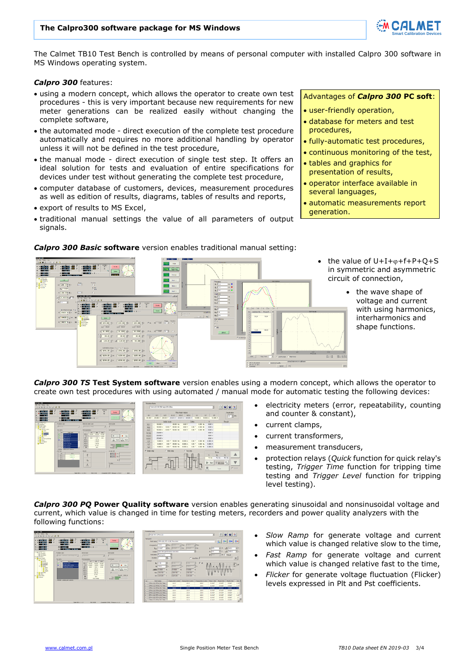#### **The Calpro300 software package for MS Windows**



The Calmet TB10 Test Bench is controlled by means of personal computer with installed Calpro 300 software in MS Windows operating system.

#### *Calpro 300* features:

- using a modern concept, which allows the operator to create own test procedures - this is very important because new requirements for new meter generations can be realized easily without changing the complete software,
- the automated mode direct execution of the complete test procedure automatically and requires no more additional handling by operator unless it will not be defined in the test procedure,
- the manual mode direct execution of single test step. It offers an ideal solution for tests and evaluation of entire specifications for devices under test without generating the complete test procedure,
- computer database of customers, devices, measurement procedures as well as edition of results, diagrams, tables of results and reports,
- export of results to MS Excel,
- traditional manual settings the value of all parameters of output signals.

Advantages of *Calpro 300* **PC soft**:

- user-friendly operation,
- database for meters and test procedures,
- fully-automatic test procedures,
- continuous monitoring of the test,
- tables and graphics for presentation of results,
- operator interface available in several languages,
- automatic measurements report generation.



#### *Calpro 300 Basic* **software** version enables traditional manual setting:

- the value of  $U+I+\varphi+f+P+Q+S$ in symmetric and asymmetric circuit of connection,
	- the wave shape of voltage and current with using harmonics, interharmonics and shape functions.

*Calpro 300 TS* **Test System software** version enables using a modern concept, which allows the operator to create own test procedures with using automated / manual mode for automatic testing the following devices:



- electricity meters (error, repeatability, counting and counter & constant),
- current clamps,
- current transformers,
- measurement transducers,
- protection relays (*Quick* function for quick relay's testing, *Trigger Time* function for tripping time testing and *Trigger Level* function for tripping level testing).

*Calpro 300 PQ* **Power Quality software** version enables generating sinusoidal and nonsinusoidal voltage and current, which value is changed in time for testing meters, recorders and power quality analyzers with the following functions:



- *Slow Ramp* for generate voltage and current which value is changed relative slow to the time,
- *Fast Ramp* for generate voltage and current which value is changed relative fast to the time.
- *Flicker* for generate voltage fluctuation (Flicker) levels expressed in Plt and Pst coefficients.